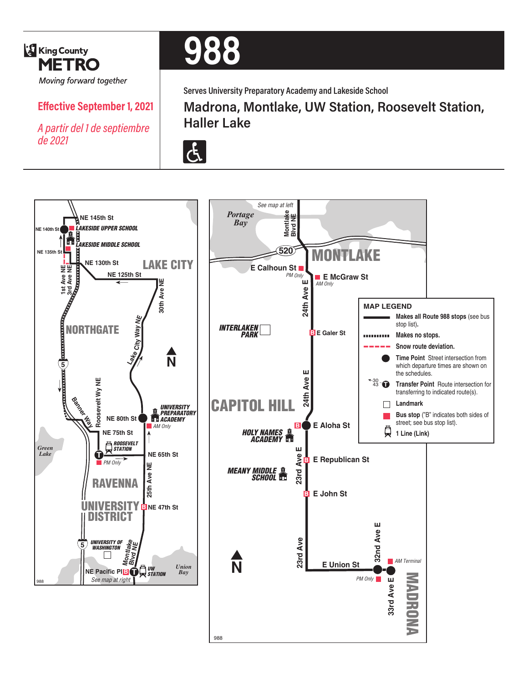

# **988**

**Serves University Preparatory Academy and Lakeside School**

## **Effective September 1, 2021**

*A partir del 1 de septiembre de 2021*

# **Madrona, Montlake, UW Station, Roosevelt Station, Haller Lake**